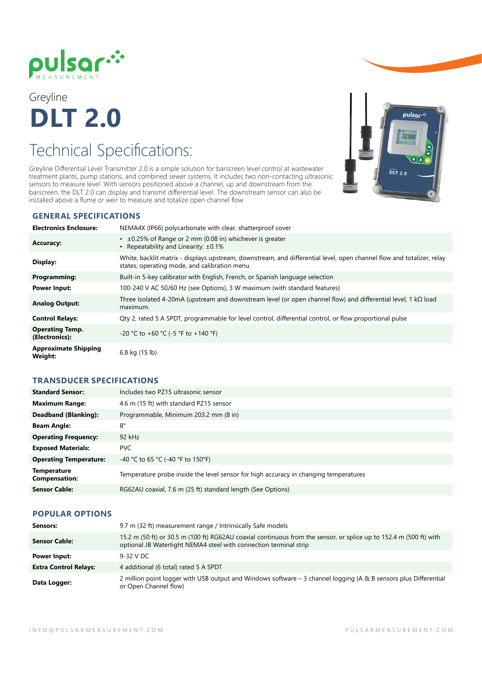

Greyline **DLT 2.0**

## Technical Specifications:

Greyline Differential Level Transmitter 2.0 is a simple solution for barscreen level control at wastewater treatment plants, pump stations, and combined sewer systems. It includes two non-contacting ultrasonic sensors to measure level. With sensors positioned above a channel, up and downstream from the barscreen, the DLT 2.0 can display and transmit differential level. The downstream sensor can also be installed above a flume or weir to measure and totalize open channel flow

# pulsar*:* 32.000  $\overline{DLT}$  2.0

#### **GENERAL SPECIFICATIONS**

| <b>Electronics Enclosure:</b>                 | NEMA4X (IP66) polycarbonate with clear, shatterproof cover                                                                                                            |
|-----------------------------------------------|-----------------------------------------------------------------------------------------------------------------------------------------------------------------------|
| <b>Accuracy:</b>                              | $\cdot$ ±0.25% of Range or 2 mm (0.08 in) whichever is greater<br>• Repeatability and Linearity: $\pm 0.1\%$                                                          |
| Display:                                      | White, backlit matrix - displays upstream, downstream, and differential level, open channel flow and totalizer, relay<br>states, operating mode, and calibration menu |
| Programming:                                  | Built-in 5-key calibrator with English, French, or Spanish language selection                                                                                         |
| <b>Power Input:</b>                           | 100-240 V AC 50/60 Hz (see Options), 3 W maximum (with standard features)                                                                                             |
| <b>Analog Output:</b>                         | Three Isolated 4-20mA (upstream and downstream level (or open channel flow) and differential level, 1 k $\Omega$ load<br>maximum.                                     |
| <b>Control Relays:</b>                        | Qty 2, rated 5 A SPDT, programmable for level control, differential control, or flow proportional pulse                                                               |
| <b>Operating Temp.</b><br>(Electronics):      | -20 °C to +60 °C (-5 °F to +140 °F)                                                                                                                                   |
| <b>Approximate Shipping</b><br><b>Weight:</b> | 6.8 kg (15 lb)                                                                                                                                                        |

### **TRANSDUCER SPECIFICATIONS**

| <b>Standard Sensor:</b>                    | Includes two PZ15 ultrasonic sensor                                                  |
|--------------------------------------------|--------------------------------------------------------------------------------------|
| <b>Maximum Range:</b>                      | 4.6 m (15 ft) with standard PZ15 sensor                                              |
| Deadband (Blanking):                       | Programmable, Minimum 203.2 mm (8 in)                                                |
| <b>Beam Angle:</b>                         | $8^{\circ}$                                                                          |
| <b>Operating Frequency:</b>                | $92$ kHz                                                                             |
| <b>Exposed Materials:</b>                  | <b>PVC</b>                                                                           |
| <b>Operating Temperature:</b>              | -40 °C to 65 °C (-40 °F to 150°F)                                                    |
| <b>Temperature</b><br><b>Compensation:</b> | Temperature probe inside the level sensor for high accuracy in changing temperatures |
| <b>Sensor Cable:</b>                       | RG62AU coaxial, 7.6 m (25 ft) standard length (See Options)                          |

#### **POPULAR OPTIONS**

| Sensors:                     | 9.7 m (32 ft) measurement range / Intrinsically Safe models                                                                                                                             |
|------------------------------|-----------------------------------------------------------------------------------------------------------------------------------------------------------------------------------------|
| <b>Sensor Cable:</b>         | 15.2 m (50 ft) or 30.5 m (100 ft) RG62AU coaxial continuous from the sensor, or splice up to 152.4 m (500 ft) with<br>optional JB Watertight NEMA4 steel with connection terminal strip |
| Power Input:                 | 9-32 V DC                                                                                                                                                                               |
| <b>Extra Control Relays:</b> | 4 additional (6 total) rated 5 A SPDT                                                                                                                                                   |
| Data Logger:                 | 2 million point logger with USB output and Windows software – 3 channel logging (A & B sensors plus Differential<br>or Open Channel flow)                                               |